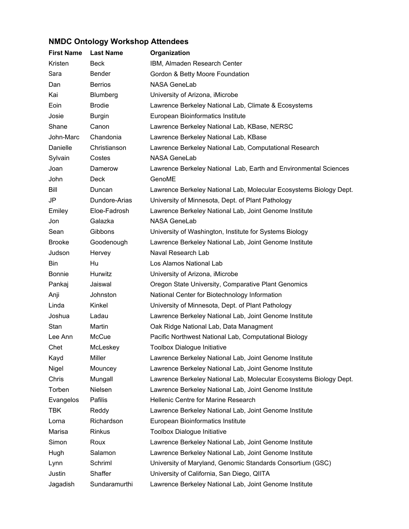## **NMDC Ontology Workshop Attendees**

| <b>First Name</b> | <b>Last Name</b> | Organization                                                       |
|-------------------|------------------|--------------------------------------------------------------------|
| Kristen           | <b>Beck</b>      | IBM, Almaden Research Center                                       |
| Sara              | Bender           | Gordon & Betty Moore Foundation                                    |
| Dan               | <b>Berrios</b>   | <b>NASA GeneLab</b>                                                |
| Kai               | Blumberg         | University of Arizona, iMicrobe                                    |
| Eoin              | <b>Brodie</b>    | Lawrence Berkeley National Lab, Climate & Ecosystems               |
| Josie             | <b>Burgin</b>    | European Bioinformatics Institute                                  |
| Shane             | Canon            | Lawrence Berkeley National Lab, KBase, NERSC                       |
| John-Marc         | Chandonia        | Lawrence Berkeley National Lab, KBase                              |
| Danielle          | Christianson     | Lawrence Berkeley National Lab, Computational Research             |
| Sylvain           | Costes           | <b>NASA GeneLab</b>                                                |
| Joan              | Damerow          | Lawrence Berkeley National Lab, Earth and Environmental Sciences   |
| John              | Deck             | GenoME                                                             |
| Bill              | Duncan           | Lawrence Berkeley National Lab, Molecular Ecosystems Biology Dept. |
| JP                | Dundore-Arias    | University of Minnesota, Dept. of Plant Pathology                  |
| Emiley            | Eloe-Fadrosh     | Lawrence Berkeley National Lab, Joint Genome Institute             |
| Jon               | Galazka          | <b>NASA GeneLab</b>                                                |
| Sean              | Gibbons          | University of Washington, Institute for Systems Biology            |
| <b>Brooke</b>     | Goodenough       | Lawrence Berkeley National Lab, Joint Genome Institute             |
| Judson            | Hervey           | Naval Research Lab                                                 |
| Bin.              | Hu               | Los Alamos National Lab                                            |
| <b>Bonnie</b>     | Hurwitz          | University of Arizona, iMicrobe                                    |
| Pankaj            | Jaiswal          | Oregon State University, Comparative Plant Genomics                |
| Anji              | Johnston         | National Center for Biotechnology Information                      |
| Linda             | Kinkel           | University of Minnesota, Dept. of Plant Pathology                  |
| Joshua            | Ladau            | Lawrence Berkeley National Lab, Joint Genome Institute             |
| Stan              | Martin           | Oak Ridge National Lab, Data Managment                             |
| Lee Ann           | McCue            | Pacific Northwest National Lab, Computational Biology              |
| Chet              | McLeskey         | <b>Toolbox Dialogue Initiative</b>                                 |
| Kayd              | Miller           | Lawrence Berkeley National Lab, Joint Genome Institute             |
| Nigel             | Mouncey          | Lawrence Berkeley National Lab, Joint Genome Institute             |
| Chris             | Mungall          | Lawrence Berkeley National Lab, Molecular Ecosystems Biology Dept. |
| Torben            | Nielsen          | Lawrence Berkeley National Lab, Joint Genome Institute             |
| Evangelos         | Pafilis          | <b>Hellenic Centre for Marine Research</b>                         |
| TBK               | Reddy            | Lawrence Berkeley National Lab, Joint Genome Institute             |
| Lorna             | Richardson       | European Bioinformatics Institute                                  |
| Marisa            | <b>Rinkus</b>    | <b>Toolbox Dialogue Initiative</b>                                 |
| Simon             | Roux             | Lawrence Berkeley National Lab, Joint Genome Institute             |
| Hugh              | Salamon          | Lawrence Berkeley National Lab, Joint Genome Institute             |
| Lynn              | Schriml          | University of Maryland, Genomic Standards Consortium (GSC)         |
| Justin            | Shaffer          | University of California, San Diego, QIITA                         |
| Jagadish          | Sundaramurthi    | Lawrence Berkeley National Lab, Joint Genome Institute             |